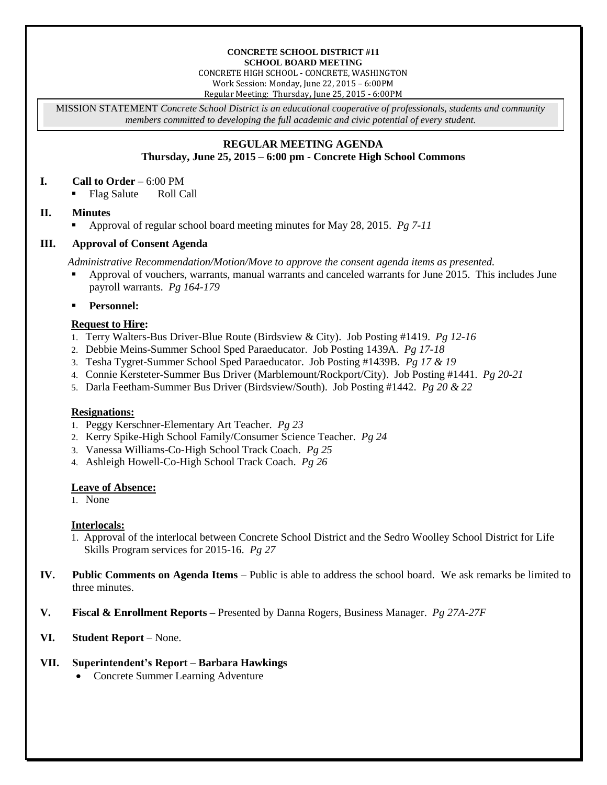#### **CONCRETE SCHOOL DISTRICT #11 SCHOOL BOARD MEETING**

CONCRETE HIGH SCHOOL - CONCRETE, WASHINGTON Work Session: Monday, June 22, 2015 – 6:00PM

Regular Meeting: Thursday**,** June 25, 2015 - 6:00PM

MISSION STATEMENT *Concrete School District is an educational cooperative of professionals, students and community members committed to developing the full academic and civic potential of every student.*

### **REGULAR MEETING AGENDA Thursday, June 25, 2015 – 6:00 pm - Concrete High School Commons**

#### **I. Call to Order** – 6:00 PM

• Flag Salute Roll Call

# **II. Minutes**

Approval of regular school board meeting minutes for May 28, 2015. *Pg 7-11*

# **III. Approval of Consent Agenda**

*Administrative Recommendation/Motion/Move to approve the consent agenda items as presented.*

- Approval of vouchers, warrants, manual warrants and canceled warrants for June 2015. This includes June payroll warrants. *Pg 164-179*
- **Personnel:**

# **Request to Hire:**

- 1. Terry Walters-Bus Driver-Blue Route (Birdsview & City). Job Posting #1419. *Pg 12-16*
- 2. Debbie Meins-Summer School Sped Paraeducator. Job Posting 1439A. *Pg 17-18*
- 3. Tesha Tygret-Summer School Sped Paraeducator. Job Posting #1439B. *Pg 17 & 19*
- 4. Connie Kersteter-Summer Bus Driver (Marblemount/Rockport/City). Job Posting #1441. *Pg 20-21*
- 5. Darla Feetham-Summer Bus Driver (Birdsview/South). Job Posting #1442. *Pg 20 & 22*

### **Resignations:**

- 1. Peggy Kerschner-Elementary Art Teacher. *Pg 23*
- 2. Kerry Spike-High School Family/Consumer Science Teacher. *Pg 24*
- 3. Vanessa Williams-Co-High School Track Coach. *Pg 25*
- 4. Ashleigh Howell-Co-High School Track Coach. *Pg 26*

### **Leave of Absence:**

1. None

### **Interlocals:**

- 1. Approval of the interlocal between Concrete School District and the Sedro Woolley School District for Life Skills Program services for 2015-16. *Pg 27*
- **IV. Public Comments on Agenda Items** Public is able to address the school board. We ask remarks be limited to three minutes.
- **V. Fiscal & Enrollment Reports –** Presented by Danna Rogers, Business Manager. *Pg 27A-27F*
- **VI. Student Report** None.

### **VII. Superintendent's Report – Barbara Hawkings**

• Concrete Summer Learning Adventure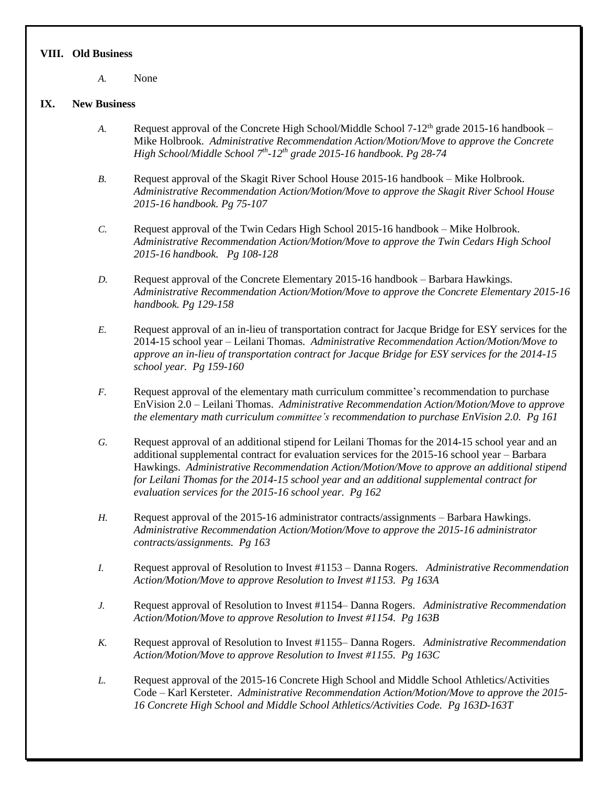#### **VIII. Old Business**

*A.* None

# **IX. New Business**

- A. Request approval of the Concrete High School/Middle School 7-12<sup>th</sup> grade 2015-16 handbook Mike Holbrook. *Administrative Recommendation Action/Motion/Move to approve the Concrete High School/Middle School 7th -12th grade 2015-16 handbook. Pg 28-74*
- *B.* Request approval of the Skagit River School House 2015-16 handbook Mike Holbrook. *Administrative Recommendation Action/Motion/Move to approve the Skagit River School House 2015-16 handbook. Pg 75-107*
- *C.* Request approval of the Twin Cedars High School 2015-16 handbook Mike Holbrook. *Administrative Recommendation Action/Motion/Move to approve the Twin Cedars High School 2015-16 handbook. Pg 108-128*
- *D.* Request approval of the Concrete Elementary 2015-16 handbook Barbara Hawkings. *Administrative Recommendation Action/Motion/Move to approve the Concrete Elementary 2015-16 handbook. Pg 129-158*
- *E.* Request approval of an in-lieu of transportation contract for Jacque Bridge for ESY services for the 2014-15 school year – Leilani Thomas. *Administrative Recommendation Action/Motion/Move to approve an in-lieu of transportation contract for Jacque Bridge for ESY services for the 2014-15 school year. Pg 159-160*
- *F.* Request approval of the elementary math curriculum committee's recommendation to purchase EnVision 2.0 – Leilani Thomas. *Administrative Recommendation Action/Motion/Move to approve the elementary math curriculum committee's recommendation to purchase EnVision 2.0. Pg 161*
- *G.* Request approval of an additional stipend for Leilani Thomas for the 2014-15 school year and an additional supplemental contract for evaluation services for the 2015-16 school year – Barbara Hawkings. *Administrative Recommendation Action/Motion/Move to approve an additional stipend for Leilani Thomas for the 2014-15 school year and an additional supplemental contract for evaluation services for the 2015-16 school year. Pg 162*
- *H.* Request approval of the 2015-16 administrator contracts/assignments Barbara Hawkings. *Administrative Recommendation Action/Motion/Move to approve the 2015-16 administrator contracts/assignments. Pg 163*
- *I.* Request approval of Resolution to Invest #1153 Danna Rogers. *Administrative Recommendation Action/Motion/Move to approve Resolution to Invest #1153. Pg 163A*
- *J.* Request approval of Resolution to Invest #1154– Danna Rogers. *Administrative Recommendation Action/Motion/Move to approve Resolution to Invest #1154. Pg 163B*
- *K.* Request approval of Resolution to Invest #1155– Danna Rogers. *Administrative Recommendation Action/Motion/Move to approve Resolution to Invest #1155. Pg 163C*
- *L.* Request approval of the 2015-16 Concrete High School and Middle School Athletics/Activities Code – Karl Kersteter. *Administrative Recommendation Action/Motion/Move to approve the 2015- 16 Concrete High School and Middle School Athletics/Activities Code. Pg 163D-163T*